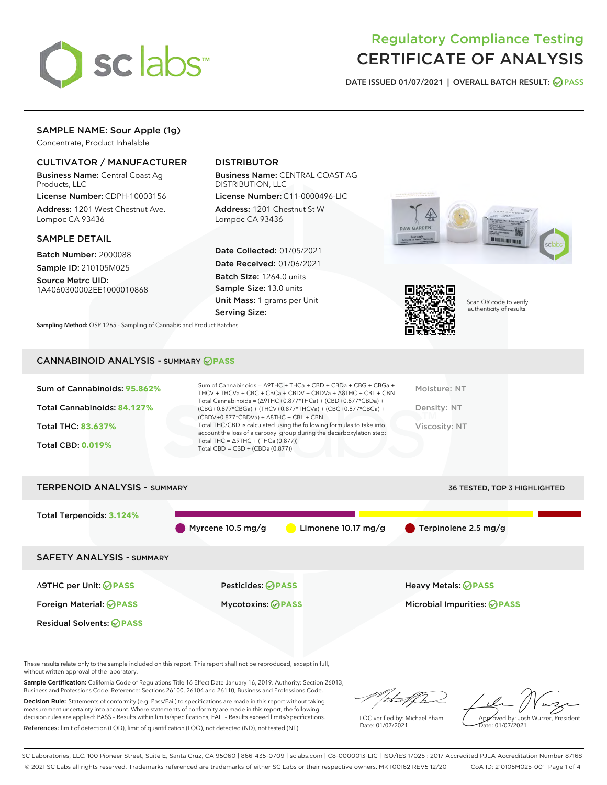

# Regulatory Compliance Testing CERTIFICATE OF ANALYSIS

DATE ISSUED 01/07/2021 | OVERALL BATCH RESULT: @ PASS

# SAMPLE NAME: Sour Apple (1g)

Concentrate, Product Inhalable

## CULTIVATOR / MANUFACTURER

Business Name: Central Coast Ag Products, LLC

License Number: CDPH-10003156 Address: 1201 West Chestnut Ave. Lompoc CA 93436

#### SAMPLE DETAIL

Batch Number: 2000088 Sample ID: 210105M025

Source Metrc UID: 1A4060300002EE1000010868

# DISTRIBUTOR

Business Name: CENTRAL COAST AG DISTRIBUTION, LLC

License Number: C11-0000496-LIC Address: 1201 Chestnut St W Lompoc CA 93436

Date Collected: 01/05/2021 Date Received: 01/06/2021 Batch Size: 1264.0 units Sample Size: 13.0 units Unit Mass: 1 grams per Unit Serving Size:



Scan QR code to verify authenticity of results.

#### CANNABINOID ANALYSIS - SUMMARY **PASS**

Sampling Method: QSP 1265 - Sampling of Cannabis and Product Batches

| Sum of Cannabinoids: 95.862% | Sum of Cannabinoids = $\triangle$ 9THC + THCa + CBD + CBDa + CBG + CBGa +<br>THCV + THCVa + CBC + CBCa + CBDV + CBDVa + $\Delta$ 8THC + CBL + CBN                                    | Moisture: NT  |
|------------------------------|--------------------------------------------------------------------------------------------------------------------------------------------------------------------------------------|---------------|
| Total Cannabinoids: 84.127%  | Total Cannabinoids = $(\Delta$ 9THC+0.877*THCa) + (CBD+0.877*CBDa) +<br>(CBG+0.877*CBGa) + (THCV+0.877*THCVa) + (CBC+0.877*CBCa) +<br>$(CBDV+0.877*CBDVa) + \Delta 8THC + CBL + CBN$ | Density: NT   |
| <b>Total THC: 83.637%</b>    | Total THC/CBD is calculated using the following formulas to take into<br>account the loss of a carboxyl group during the decarboxylation step:                                       | Viscosity: NT |
| <b>Total CBD: 0.019%</b>     | Total THC = $\triangle$ 9THC + (THCa (0.877))<br>Total CBD = $CBD + (CBDa (0.877))$                                                                                                  |               |
|                              |                                                                                                                                                                                      |               |



These results relate only to the sample included on this report. This report shall not be reproduced, except in full, without written approval of the laboratory.

Sample Certification: California Code of Regulations Title 16 Effect Date January 16, 2019. Authority: Section 26013, Business and Professions Code. Reference: Sections 26100, 26104 and 26110, Business and Professions Code.

Decision Rule: Statements of conformity (e.g. Pass/Fail) to specifications are made in this report without taking measurement uncertainty into account. Where statements of conformity are made in this report, the following decision rules are applied: PASS – Results within limits/specifications, FAIL – Results exceed limits/specifications. References: limit of detection (LOD), limit of quantification (LOQ), not detected (ND), not tested (NT)

:Hatf Is

LQC verified by: Michael Pham Date: 01/07/2021

Approved by: Josh Wurzer, President ate: 01/07/2021

SC Laboratories, LLC. 100 Pioneer Street, Suite E, Santa Cruz, CA 95060 | 866-435-0709 | sclabs.com | C8-0000013-LIC | ISO/IES 17025 : 2017 Accredited PJLA Accreditation Number 87168 © 2021 SC Labs all rights reserved. Trademarks referenced are trademarks of either SC Labs or their respective owners. MKT00162 REV5 12/20 CoA ID: 210105M025-001 Page 1 of 4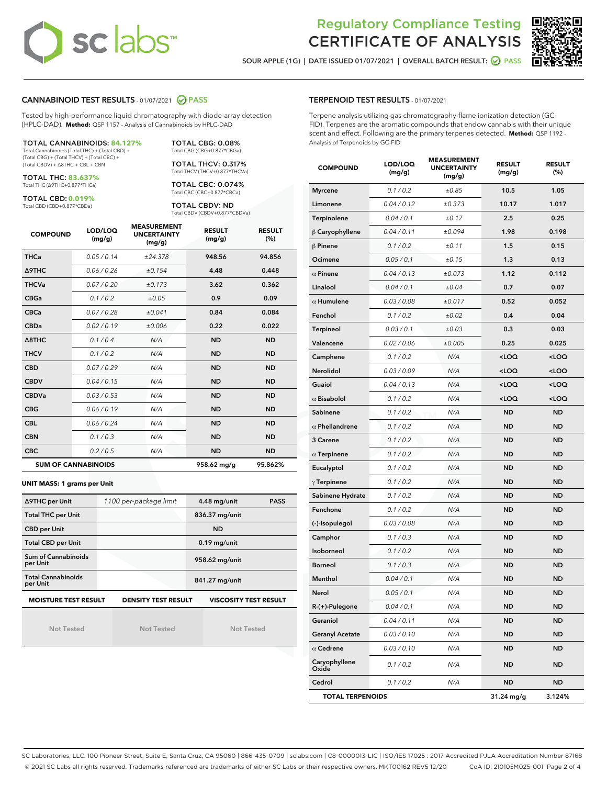# **sclabs**

# Regulatory Compliance Testing CERTIFICATE OF ANALYSIS

SOUR APPLE (1G) | DATE ISSUED 01/07/2021 | OVERALL BATCH RESULT: @ PASS



## CANNABINOID TEST RESULTS - 01/07/2021 2 PASS

Tested by high-performance liquid chromatography with diode-array detection (HPLC-DAD). **Method:** QSP 1157 - Analysis of Cannabinoids by HPLC-DAD

TOTAL CANNABINOIDS: **84.127%** Total Cannabinoids (Total THC) + (Total CBD) + (Total CBG) + (Total THCV) + (Total CBC) + (Total CBDV) + ∆8THC + CBL + CBN

TOTAL THC: **83.637%**

Total THC (∆9THC+0.877\*THCa)

TOTAL CBD: **0.019%** Total CBD (CBD+0.877\*CBDa)

Total CBG (CBG+0.877\*CBGa) TOTAL THCV: 0.317% Total THCV (THCV+0.877\*THCVa)

TOTAL CBG: 0.08%

TOTAL CBC: 0.074% Total CBC (CBC+0.877\*CBCa)

TOTAL CBDV: ND Total CBDV (CBDV+0.877\*CBDVa)

| <b>COMPOUND</b> | LOD/LOQ<br>(mg/g)          | <b>MEASUREMENT</b><br><b>UNCERTAINTY</b><br>(mg/g) | <b>RESULT</b><br>(mg/g) | <b>RESULT</b><br>(%) |
|-----------------|----------------------------|----------------------------------------------------|-------------------------|----------------------|
| <b>THCa</b>     | 0.05/0.14                  | ±24.378                                            | 948.56                  | 94.856               |
| <b>A9THC</b>    | 0.06/0.26                  | ±0.154                                             | 4.48                    | 0.448                |
| <b>THCVa</b>    | 0.07/0.20                  | ±0.173                                             | 3.62                    | 0.362                |
| <b>CBGa</b>     | 0.1/0.2                    | ±0.05                                              | 0.9                     | 0.09                 |
| <b>CBCa</b>     | 0.07/0.28                  | ±0.041                                             | 0.84                    | 0.084                |
| <b>CBDa</b>     | 0.02/0.19                  | ±0.006                                             | 0.22                    | 0.022                |
| A8THC           | 0.1/0.4                    | N/A                                                | <b>ND</b>               | <b>ND</b>            |
| <b>THCV</b>     | 0.1/0.2                    | N/A                                                | <b>ND</b>               | <b>ND</b>            |
| <b>CBD</b>      | 0.07/0.29                  | N/A                                                | <b>ND</b>               | <b>ND</b>            |
| <b>CBDV</b>     | 0.04/0.15                  | N/A                                                | <b>ND</b>               | <b>ND</b>            |
| <b>CBDVa</b>    | 0.03/0.53                  | N/A                                                | <b>ND</b>               | <b>ND</b>            |
| <b>CBG</b>      | 0.06/0.19                  | N/A                                                | <b>ND</b>               | <b>ND</b>            |
| <b>CBL</b>      | 0.06 / 0.24                | N/A                                                | <b>ND</b>               | <b>ND</b>            |
| <b>CBN</b>      | 0.1/0.3                    | N/A                                                | <b>ND</b>               | <b>ND</b>            |
| <b>CBC</b>      | 0.2 / 0.5                  | N/A                                                | <b>ND</b>               | <b>ND</b>            |
|                 | <b>SUM OF CANNABINOIDS</b> |                                                    | 958.62 mg/g             | 95.862%              |

#### **UNIT MASS: 1 grams per Unit**

| ∆9THC per Unit                                                                            | 1100 per-package limit | 4.48 mg/unit<br><b>PASS</b> |  |  |  |
|-------------------------------------------------------------------------------------------|------------------------|-----------------------------|--|--|--|
| <b>Total THC per Unit</b>                                                                 |                        | 836.37 mg/unit              |  |  |  |
| <b>CBD per Unit</b>                                                                       |                        | <b>ND</b>                   |  |  |  |
| <b>Total CBD per Unit</b>                                                                 |                        | $0.19$ mg/unit              |  |  |  |
| Sum of Cannabinoids<br>per Unit                                                           |                        | 958.62 mg/unit              |  |  |  |
| <b>Total Cannabinoids</b><br>per Unit                                                     |                        | 841.27 mg/unit              |  |  |  |
| <b>VISCOSITY TEST RESULT</b><br><b>MOISTURE TEST RESULT</b><br><b>DENSITY TEST RESULT</b> |                        |                             |  |  |  |

Not Tested

Not Tested

Not Tested

#### TERPENOID TEST RESULTS - 01/07/2021

Terpene analysis utilizing gas chromatography-flame ionization detection (GC-FID). Terpenes are the aromatic compounds that endow cannabis with their unique scent and effect. Following are the primary terpenes detected. **Method:** QSP 1192 - Analysis of Terpenoids by GC-FID

| <b>COMPOUND</b>         | LOD/LOQ<br>(mg/g) | <b>MEASUREMENT</b><br><b>UNCERTAINTY</b><br>(mg/g) | <b>RESULT</b><br>(mg/g)                         | <b>RESULT</b><br>$(\%)$ |
|-------------------------|-------------------|----------------------------------------------------|-------------------------------------------------|-------------------------|
| <b>Myrcene</b>          | 0.1 / 0.2         | ±0.85                                              | 10.5                                            | 1.05                    |
| Limonene                | 0.04 / 0.12       | ±0.373                                             | 10.17                                           | 1.017                   |
| Terpinolene             | 0.04 / 0.1        | ±0.17                                              | 2.5                                             | 0.25                    |
| $\beta$ Caryophyllene   | 0.04 / 0.11       | ±0.094                                             | 1.98                                            | 0.198                   |
| $\beta$ Pinene          | 0.1 / 0.2         | ±0.11                                              | 1.5                                             | 0.15                    |
| Ocimene                 | 0.05 / 0.1        | ±0.15                                              | 1.3                                             | 0.13                    |
| $\alpha$ Pinene         | 0.04 / 0.13       | ±0.073                                             | 1.12                                            | 0.112                   |
| Linalool                | 0.04 / 0.1        | ±0.04                                              | 0.7                                             | 0.07                    |
| $\alpha$ Humulene       | 0.03 / 0.08       | ±0.017                                             | 0.52                                            | 0.052                   |
| Fenchol                 | 0.1 / 0.2         | ±0.02                                              | 0.4                                             | 0.04                    |
| Terpineol               | 0.03 / 0.1        | ±0.03                                              | 0.3                                             | 0.03                    |
| Valencene               | 0.02 / 0.06       | ±0.005                                             | 0.25                                            | 0.025                   |
| Camphene                | 0.1 / 0.2         | N/A                                                | <loq< td=""><td><loq< td=""></loq<></td></loq<> | <loq< td=""></loq<>     |
| Nerolidol               | 0.03 / 0.09       | N/A                                                | <loq< td=""><td><loq< td=""></loq<></td></loq<> | <loq< td=""></loq<>     |
| Guaiol                  | 0.04 / 0.13       | N/A                                                | 100                                             | <loq< td=""></loq<>     |
| $\alpha$ Bisabolol      | 0.1 / 0.2         | N/A                                                | <loq< td=""><td><loq< td=""></loq<></td></loq<> | <loq< td=""></loq<>     |
| Sabinene                | 0.1/0.2           | N/A                                                | <b>ND</b>                                       | <b>ND</b>               |
| $\alpha$ Phellandrene   | 0.1 / 0.2         | N/A                                                | ND                                              | <b>ND</b>               |
| 3 Carene                | 0.1 / 0.2         | N/A                                                | <b>ND</b>                                       | <b>ND</b>               |
| $\alpha$ Terpinene      | 0.1 / 0.2         | N/A                                                | <b>ND</b>                                       | <b>ND</b>               |
| Eucalyptol              | 0.1 / 0.2         | N/A                                                | ND                                              | <b>ND</b>               |
| $\gamma$ Terpinene      | 0.1 / 0.2         | N/A                                                | <b>ND</b>                                       | <b>ND</b>               |
| Sabinene Hydrate        | 0.1 / 0.2         | N/A                                                | <b>ND</b>                                       | <b>ND</b>               |
| Fenchone                | 0.1 / 0.2         | N/A                                                | ND                                              | <b>ND</b>               |
| (-)-Isopulegol          | 0.03 / 0.08       | N/A                                                | <b>ND</b>                                       | <b>ND</b>               |
| Camphor                 | 0.1 / 0.3         | N/A                                                | ND                                              | <b>ND</b>               |
| Isoborneol              | 0.1 / 0.2         | N/A                                                | ND                                              | <b>ND</b>               |
| <b>Borneol</b>          | 0.1 / 0.3         | N/A                                                | <b>ND</b>                                       | <b>ND</b>               |
| Menthol                 | 0.04 / 0.1        | N/A                                                | <b>ND</b>                                       | <b>ND</b>               |
| Nerol                   | 0.05 / 0.1        | N/A                                                | <b>ND</b>                                       | <b>ND</b>               |
| R-(+)-Pulegone          | 0.04 / 0.1        | N/A                                                | ND                                              | ND                      |
| Geraniol                | 0.04 / 0.11       | N/A                                                | ND                                              | ND                      |
| <b>Geranyl Acetate</b>  | 0.03 / 0.10       | N/A                                                | ND                                              | ND                      |
| $\alpha$ Cedrene        | 0.03 / 0.10       | N/A                                                | ND                                              | ND                      |
| Caryophyllene<br>Oxide  | 0.1 / 0.2         | N/A                                                | ND                                              | ND                      |
| Cedrol                  | 0.1 / 0.2         | N/A                                                | <b>ND</b>                                       | ND                      |
| <b>TOTAL TERPENOIDS</b> |                   |                                                    | 31.24 mg/g                                      | 3.124%                  |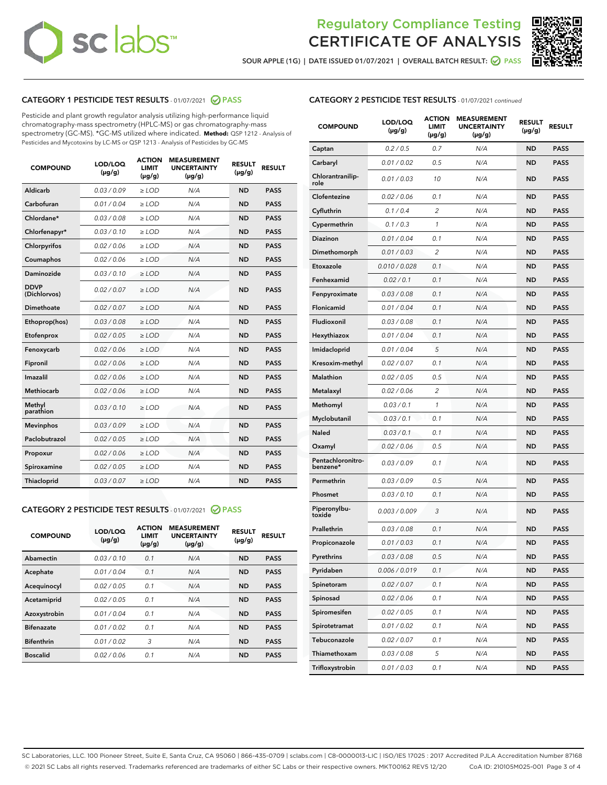# **sc** labs™

# Regulatory Compliance Testing CERTIFICATE OF ANALYSIS



SOUR APPLE (1G) | DATE ISSUED 01/07/2021 | OVERALL BATCH RESULT: 0 PASS

## CATEGORY 1 PESTICIDE TEST RESULTS - 01/07/2021 @ PASS

Pesticide and plant growth regulator analysis utilizing high-performance liquid chromatography-mass spectrometry (HPLC-MS) or gas chromatography-mass spectrometry (GC-MS). \*GC-MS utilized where indicated. **Method:** QSP 1212 - Analysis of Pesticides and Mycotoxins by LC-MS or QSP 1213 - Analysis of Pesticides by GC-MS

| <b>COMPOUND</b>             | LOD/LOQ<br>$(\mu g/g)$ | <b>ACTION</b><br><b>LIMIT</b><br>$(\mu g/g)$ | <b>MEASUREMENT</b><br><b>UNCERTAINTY</b><br>$(\mu g/g)$ | <b>RESULT</b><br>$(\mu g/g)$ | <b>RESULT</b> |
|-----------------------------|------------------------|----------------------------------------------|---------------------------------------------------------|------------------------------|---------------|
| Aldicarb                    | 0.03/0.09              | $\ge$ LOD                                    | N/A                                                     | <b>ND</b>                    | <b>PASS</b>   |
| Carbofuran                  | 0.01 / 0.04            | ≥ LOD                                        | N/A                                                     | <b>ND</b>                    | <b>PASS</b>   |
| Chlordane*                  | 0.03 / 0.08            | ≥ LOD                                        | N/A                                                     | <b>ND</b>                    | <b>PASS</b>   |
| Chlorfenapyr*               | 0.03/0.10              | $>$ LOD                                      | N/A                                                     | <b>ND</b>                    | <b>PASS</b>   |
| Chlorpyrifos                | 0.02 / 0.06            | $\geq$ LOD                                   | N/A                                                     | <b>ND</b>                    | <b>PASS</b>   |
| Coumaphos                   | 0.02 / 0.06            | $\ge$ LOD                                    | N/A                                                     | <b>ND</b>                    | <b>PASS</b>   |
| Daminozide                  | 0.03/0.10              | $\geq$ LOD                                   | N/A                                                     | <b>ND</b>                    | <b>PASS</b>   |
| <b>DDVP</b><br>(Dichlorvos) | 0.02 / 0.07            | $\geq$ LOD                                   | N/A                                                     | <b>ND</b>                    | <b>PASS</b>   |
| <b>Dimethoate</b>           | 0.02 / 0.07            | $\geq$ LOD                                   | N/A                                                     | <b>ND</b>                    | <b>PASS</b>   |
| Ethoprop(hos)               | 0.03 / 0.08            | $\ge$ LOD                                    | N/A                                                     | <b>ND</b>                    | <b>PASS</b>   |
| Etofenprox                  | 0.02 / 0.05            | $>$ LOD                                      | N/A                                                     | <b>ND</b>                    | <b>PASS</b>   |
| Fenoxycarb                  | 0.02 / 0.06            | $\geq$ LOD                                   | N/A                                                     | <b>ND</b>                    | <b>PASS</b>   |
| Fipronil                    | 0.02 / 0.06            | $>$ LOD                                      | N/A                                                     | <b>ND</b>                    | <b>PASS</b>   |
| Imazalil                    | 0.02 / 0.06            | $\geq$ LOD                                   | N/A                                                     | <b>ND</b>                    | <b>PASS</b>   |
| Methiocarb                  | 0.02 / 0.06            | ≥ LOD                                        | N/A                                                     | <b>ND</b>                    | <b>PASS</b>   |
| Methyl<br>parathion         | 0.03/0.10              | $\geq$ LOD                                   | N/A                                                     | <b>ND</b>                    | <b>PASS</b>   |
| <b>Mevinphos</b>            | 0.03/0.09              | $\geq$ LOD                                   | N/A                                                     | <b>ND</b>                    | <b>PASS</b>   |
| Paclobutrazol               | 0.02 / 0.05            | $\geq$ LOD                                   | N/A                                                     | <b>ND</b>                    | <b>PASS</b>   |
| Propoxur                    | 0.02 / 0.06            | ≥ LOD                                        | N/A                                                     | <b>ND</b>                    | <b>PASS</b>   |
| Spiroxamine                 | 0.02 / 0.05            | $\geq$ LOD                                   | N/A                                                     | <b>ND</b>                    | <b>PASS</b>   |
| <b>Thiacloprid</b>          | 0.03 / 0.07            | $\ge$ LOD                                    | N/A                                                     | <b>ND</b>                    | <b>PASS</b>   |

## CATEGORY 2 PESTICIDE TEST RESULTS - 01/07/2021 @ PASS

| <b>COMPOUND</b>   | LOD/LOQ<br>$(\mu g/g)$ | <b>ACTION</b><br>LIMIT<br>$(\mu g/g)$ | <b>MEASUREMENT</b><br><b>UNCERTAINTY</b><br>$(\mu g/g)$ | <b>RESULT</b><br>$(\mu g/g)$ | <b>RESULT</b> |
|-------------------|------------------------|---------------------------------------|---------------------------------------------------------|------------------------------|---------------|
| Abamectin         | 0.03/0.10              | 0.1                                   | N/A                                                     | <b>ND</b>                    | <b>PASS</b>   |
| Acephate          | 0.01/0.04              | 0.1                                   | N/A                                                     | <b>ND</b>                    | <b>PASS</b>   |
| Acequinocyl       | 0.02/0.05              | 0.1                                   | N/A                                                     | <b>ND</b>                    | <b>PASS</b>   |
| Acetamiprid       | 0.02/0.05              | 0.1                                   | N/A                                                     | <b>ND</b>                    | <b>PASS</b>   |
| Azoxystrobin      | 0.01/0.04              | 0.1                                   | N/A                                                     | <b>ND</b>                    | <b>PASS</b>   |
| <b>Bifenazate</b> | 0.01/0.02              | 0.1                                   | N/A                                                     | <b>ND</b>                    | <b>PASS</b>   |
| <b>Bifenthrin</b> | 0.01/0.02              | 3                                     | N/A                                                     | <b>ND</b>                    | <b>PASS</b>   |
| <b>Boscalid</b>   | 0.02/0.06              | 0.1                                   | N/A                                                     | <b>ND</b>                    | <b>PASS</b>   |
|                   |                        |                                       |                                                         |                              |               |

| <b>CATEGORY 2 PESTICIDE TEST RESULTS</b> - 01/07/2021 continued |
|-----------------------------------------------------------------|
|                                                                 |

| <b>COMPOUND</b>               | LOD/LOQ<br>$(\mu g/g)$ | <b>ACTION</b><br><b>LIMIT</b><br>$(\mu g/g)$ | <b>MEASUREMENT</b><br><b>UNCERTAINTY</b><br>(µg/g) | <b>RESULT</b><br>(µg/g) | <b>RESULT</b> |
|-------------------------------|------------------------|----------------------------------------------|----------------------------------------------------|-------------------------|---------------|
| Captan                        | 0.2 / 0.5              | 0.7                                          | N/A                                                | <b>ND</b>               | <b>PASS</b>   |
| Carbaryl                      | 0.01 / 0.02            | 0.5                                          | N/A                                                | ND                      | <b>PASS</b>   |
| Chlorantranilip-<br>role      | 0.01 / 0.03            | 10                                           | N/A                                                | ND                      | <b>PASS</b>   |
| Clofentezine                  | 0.02 / 0.06            | 0.1                                          | N/A                                                | ND                      | <b>PASS</b>   |
| Cyfluthrin                    | 0.1/0.4                | $\overline{2}$                               | N/A                                                | ND                      | <b>PASS</b>   |
| Cypermethrin                  | 0.1 / 0.3              | 1                                            | N/A                                                | ND                      | <b>PASS</b>   |
| <b>Diazinon</b>               | 0.01 / 0.04            | 0.1                                          | N/A                                                | ND                      | PASS          |
| Dimethomorph                  | 0.01 / 0.03            | 2                                            | N/A                                                | ND                      | <b>PASS</b>   |
| Etoxazole                     | 0.010 / 0.028          | 0.1                                          | N/A                                                | ND                      | <b>PASS</b>   |
| Fenhexamid                    | 0.02 / 0.1             | 0.1                                          | N/A                                                | ND                      | <b>PASS</b>   |
| Fenpyroximate                 | 0.03 / 0.08            | 0.1                                          | N/A                                                | ND                      | <b>PASS</b>   |
| Flonicamid                    | 0.01 / 0.04            | 0.1                                          | N/A                                                | ND                      | <b>PASS</b>   |
| Fludioxonil                   | 0.03/0.08              | 0.1                                          | N/A                                                | ND                      | PASS          |
| Hexythiazox                   | 0.01 / 0.04            | 0.1                                          | N/A                                                | ND                      | <b>PASS</b>   |
| Imidacloprid                  | 0.01 / 0.04            | 5                                            | N/A                                                | ND                      | <b>PASS</b>   |
| Kresoxim-methyl               | 0.02 / 0.07            | 0.1                                          | N/A                                                | ND                      | <b>PASS</b>   |
| <b>Malathion</b>              | 0.02 / 0.05            | 0.5                                          | N/A                                                | ND                      | <b>PASS</b>   |
| Metalaxyl                     | 0.02 / 0.06            | 2                                            | N/A                                                | ND                      | <b>PASS</b>   |
| Methomyl                      | 0.03 / 0.1             | 1                                            | N/A                                                | ND                      | PASS          |
| Myclobutanil                  | 0.03 / 0.1             | 0.1                                          | N/A                                                | ND                      | <b>PASS</b>   |
| Naled                         | 0.03 / 0.1             | 0.1                                          | N/A                                                | ND                      | <b>PASS</b>   |
| Oxamyl                        | 0.02 / 0.06            | 0.5                                          | N/A                                                | ND                      | PASS          |
| Pentachloronitro-<br>benzene* | 0.03 / 0.09            | 0.1                                          | N/A                                                | ND                      | <b>PASS</b>   |
| Permethrin                    | 0.03 / 0.09            | 0.5                                          | N/A                                                | ND                      | <b>PASS</b>   |
| Phosmet                       | 0.03 / 0.10            | 0.1                                          | N/A                                                | ND                      | <b>PASS</b>   |
| Piperonylbu-<br>toxide        | 0.003 / 0.009          | 3                                            | N/A                                                | ND                      | <b>PASS</b>   |
| Prallethrin                   | 0.03 / 0.08            | 0.1                                          | N/A                                                | ND                      | <b>PASS</b>   |
| Propiconazole                 | 0.01 / 0.03            | 0.1                                          | N/A                                                | ND                      | <b>PASS</b>   |
| Pyrethrins                    | 0.03 / 0.08            | 0.5                                          | N/A                                                | ND                      | PASS          |
| Pyridaben                     | 0.006 / 0.019          | 0.1                                          | N/A                                                | ND                      | <b>PASS</b>   |
| Spinetoram                    | 0.02 / 0.07            | 0.1                                          | N/A                                                | ND                      | <b>PASS</b>   |
| Spinosad                      | 0.02 / 0.06            | 0.1                                          | N/A                                                | ND                      | <b>PASS</b>   |
| Spiromesifen                  | 0.02 / 0.05            | 0.1                                          | N/A                                                | ND                      | <b>PASS</b>   |
| Spirotetramat                 | 0.01 / 0.02            | 0.1                                          | N/A                                                | ND                      | <b>PASS</b>   |
| Tebuconazole                  | 0.02 / 0.07            | 0.1                                          | N/A                                                | ND                      | <b>PASS</b>   |
| Thiamethoxam                  | 0.03 / 0.08            | 5                                            | N/A                                                | ND                      | <b>PASS</b>   |
| Trifloxystrobin               | 0.01 / 0.03            | 0.1                                          | N/A                                                | ND                      | <b>PASS</b>   |